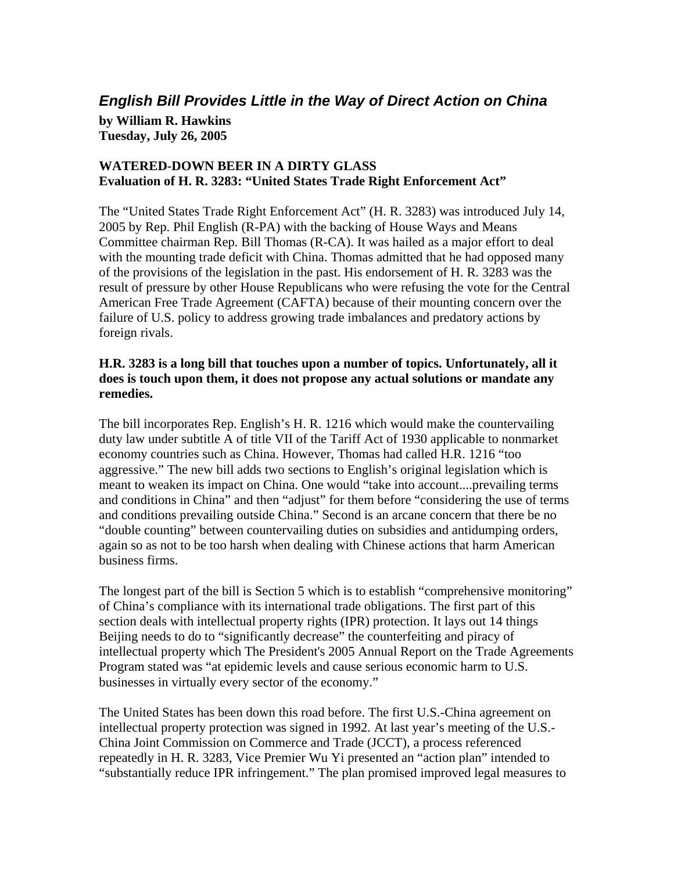## *English Bill Provides Little in the Way of Direct Action on China*

**by William R. Hawkins Tuesday, July 26, 2005** 

## **WATERED-DOWN BEER IN A DIRTY GLASS Evaluation of H. R. 3283: "United States Trade Right Enforcement Act"**

The "United States Trade Right Enforcement Act" (H. R. 3283) was introduced July 14, 2005 by Rep. Phil English (R-PA) with the backing of House Ways and Means Committee chairman Rep. Bill Thomas (R-CA). It was hailed as a major effort to deal with the mounting trade deficit with China. Thomas admitted that he had opposed many of the provisions of the legislation in the past. His endorsement of H. R. 3283 was the result of pressure by other House Republicans who were refusing the vote for the Central American Free Trade Agreement (CAFTA) because of their mounting concern over the failure of U.S. policy to address growing trade imbalances and predatory actions by foreign rivals.

## **H.R. 3283 is a long bill that touches upon a number of topics. Unfortunately, all it does is touch upon them, it does not propose any actual solutions or mandate any remedies.**

The bill incorporates Rep. English's H. R. 1216 which would make the countervailing duty law under subtitle A of title VII of the Tariff Act of 1930 applicable to nonmarket economy countries such as China. However, Thomas had called H.R. 1216 "too aggressive." The new bill adds two sections to English's original legislation which is meant to weaken its impact on China. One would "take into account....prevailing terms and conditions in China" and then "adjust" for them before "considering the use of terms and conditions prevailing outside China." Second is an arcane concern that there be no "double counting" between countervailing duties on subsidies and antidumping orders, again so as not to be too harsh when dealing with Chinese actions that harm American business firms.

The longest part of the bill is Section 5 which is to establish "comprehensive monitoring" of China's compliance with its international trade obligations. The first part of this section deals with intellectual property rights (IPR) protection. It lays out 14 things Beijing needs to do to "significantly decrease" the counterfeiting and piracy of intellectual property which The President's 2005 Annual Report on the Trade Agreements Program stated was "at epidemic levels and cause serious economic harm to U.S. businesses in virtually every sector of the economy."

The United States has been down this road before. The first U.S.-China agreement on intellectual property protection was signed in 1992. At last year's meeting of the U.S.- China Joint Commission on Commerce and Trade (JCCT), a process referenced repeatedly in H. R. 3283, Vice Premier Wu Yi presented an "action plan" intended to "substantially reduce IPR infringement." The plan promised improved legal measures to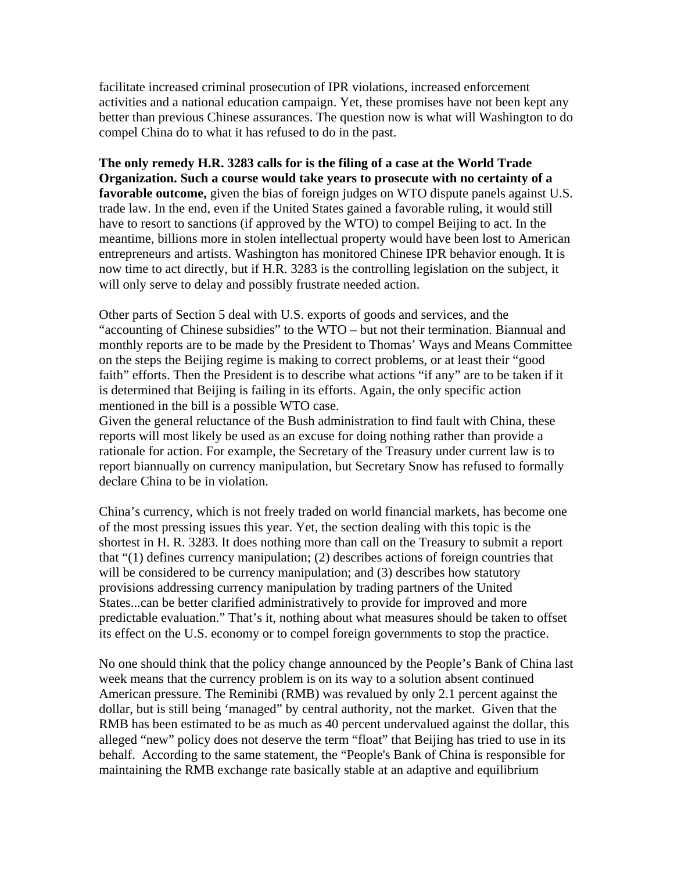facilitate increased criminal prosecution of IPR violations, increased enforcement activities and a national education campaign. Yet, these promises have not been kept any better than previous Chinese assurances. The question now is what will Washington to do compel China do to what it has refused to do in the past.

**The only remedy H.R. 3283 calls for is the filing of a case at the World Trade Organization. Such a course would take years to prosecute with no certainty of a favorable outcome,** given the bias of foreign judges on WTO dispute panels against U.S. trade law. In the end, even if the United States gained a favorable ruling, it would still have to resort to sanctions (if approved by the WTO) to compel Beijing to act. In the meantime, billions more in stolen intellectual property would have been lost to American entrepreneurs and artists. Washington has monitored Chinese IPR behavior enough. It is now time to act directly, but if H.R. 3283 is the controlling legislation on the subject, it will only serve to delay and possibly frustrate needed action.

Other parts of Section 5 deal with U.S. exports of goods and services, and the "accounting of Chinese subsidies" to the WTO – but not their termination. Biannual and monthly reports are to be made by the President to Thomas' Ways and Means Committee on the steps the Beijing regime is making to correct problems, or at least their "good faith" efforts. Then the President is to describe what actions "if any" are to be taken if it is determined that Beijing is failing in its efforts. Again, the only specific action mentioned in the bill is a possible WTO case.

Given the general reluctance of the Bush administration to find fault with China, these reports will most likely be used as an excuse for doing nothing rather than provide a rationale for action. For example, the Secretary of the Treasury under current law is to report biannually on currency manipulation, but Secretary Snow has refused to formally declare China to be in violation.

China's currency, which is not freely traded on world financial markets, has become one of the most pressing issues this year. Yet, the section dealing with this topic is the shortest in H. R. 3283. It does nothing more than call on the Treasury to submit a report that "(1) defines currency manipulation; (2) describes actions of foreign countries that will be considered to be currency manipulation; and (3) describes how statutory provisions addressing currency manipulation by trading partners of the United States...can be better clarified administratively to provide for improved and more predictable evaluation." That's it, nothing about what measures should be taken to offset its effect on the U.S. economy or to compel foreign governments to stop the practice.

No one should think that the policy change announced by the People's Bank of China last week means that the currency problem is on its way to a solution absent continued American pressure. The Reminibi (RMB) was revalued by only 2.1 percent against the dollar, but is still being 'managed" by central authority, not the market. Given that the RMB has been estimated to be as much as 40 percent undervalued against the dollar, this alleged "new" policy does not deserve the term "float" that Beijing has tried to use in its behalf. According to the same statement, the "People's Bank of China is responsible for maintaining the RMB exchange rate basically stable at an adaptive and equilibrium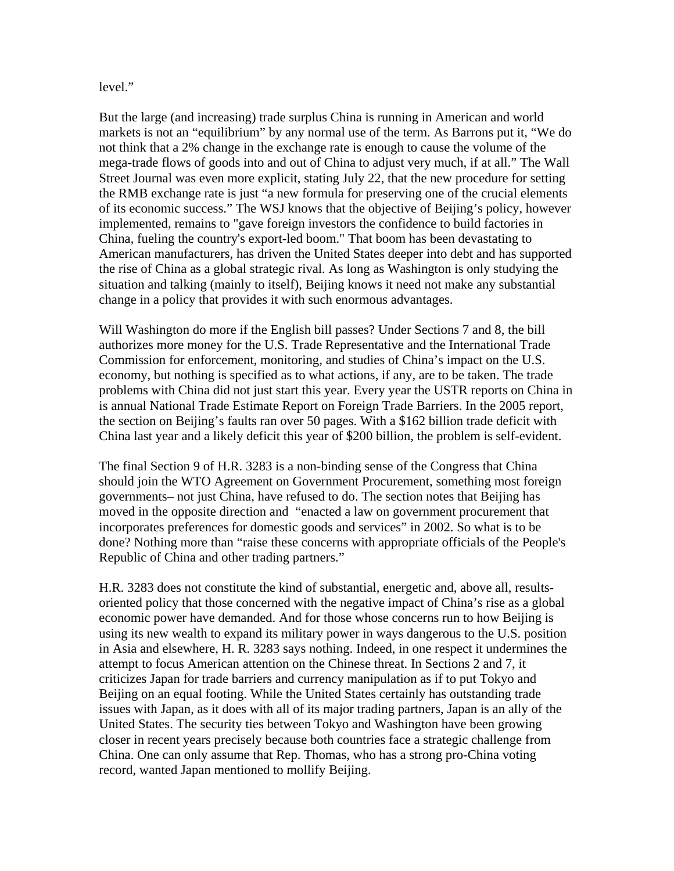## level."

But the large (and increasing) trade surplus China is running in American and world markets is not an "equilibrium" by any normal use of the term. As Barrons put it, "We do not think that a 2% change in the exchange rate is enough to cause the volume of the mega-trade flows of goods into and out of China to adjust very much, if at all." The Wall Street Journal was even more explicit, stating July 22, that the new procedure for setting the RMB exchange rate is just "a new formula for preserving one of the crucial elements of its economic success." The WSJ knows that the objective of Beijing's policy, however implemented, remains to "gave foreign investors the confidence to build factories in China, fueling the country's export-led boom." That boom has been devastating to American manufacturers, has driven the United States deeper into debt and has supported the rise of China as a global strategic rival. As long as Washington is only studying the situation and talking (mainly to itself), Beijing knows it need not make any substantial change in a policy that provides it with such enormous advantages.

Will Washington do more if the English bill passes? Under Sections 7 and 8, the bill authorizes more money for the U.S. Trade Representative and the International Trade Commission for enforcement, monitoring, and studies of China's impact on the U.S. economy, but nothing is specified as to what actions, if any, are to be taken. The trade problems with China did not just start this year. Every year the USTR reports on China in is annual National Trade Estimate Report on Foreign Trade Barriers. In the 2005 report, the section on Beijing's faults ran over 50 pages. With a \$162 billion trade deficit with China last year and a likely deficit this year of \$200 billion, the problem is self-evident.

The final Section 9 of H.R. 3283 is a non-binding sense of the Congress that China should join the WTO Agreement on Government Procurement, something most foreign governments– not just China, have refused to do. The section notes that Beijing has moved in the opposite direction and "enacted a law on government procurement that incorporates preferences for domestic goods and services" in 2002. So what is to be done? Nothing more than "raise these concerns with appropriate officials of the People's Republic of China and other trading partners."

H.R. 3283 does not constitute the kind of substantial, energetic and, above all, resultsoriented policy that those concerned with the negative impact of China's rise as a global economic power have demanded. And for those whose concerns run to how Beijing is using its new wealth to expand its military power in ways dangerous to the U.S. position in Asia and elsewhere, H. R. 3283 says nothing. Indeed, in one respect it undermines the attempt to focus American attention on the Chinese threat. In Sections 2 and 7, it criticizes Japan for trade barriers and currency manipulation as if to put Tokyo and Beijing on an equal footing. While the United States certainly has outstanding trade issues with Japan, as it does with all of its major trading partners, Japan is an ally of the United States. The security ties between Tokyo and Washington have been growing closer in recent years precisely because both countries face a strategic challenge from China. One can only assume that Rep. Thomas, who has a strong pro-China voting record, wanted Japan mentioned to mollify Beijing.